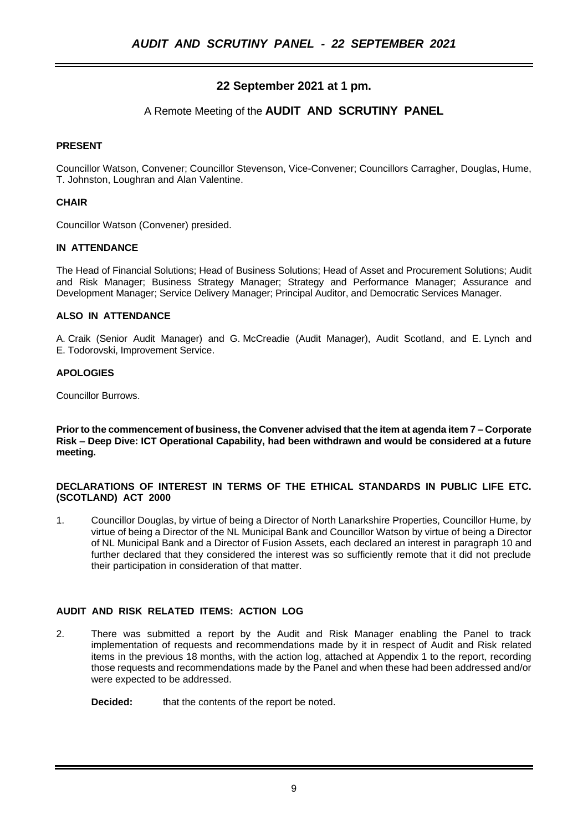## **22 September 2021 at 1 pm.**

## A Remote Meeting of the **AUDIT AND SCRUTINY PANEL**

### **PRESENT**

Councillor Watson, Convener; Councillor Stevenson, Vice-Convener; Councillors Carragher, Douglas, Hume, T. Johnston, Loughran and Alan Valentine.

## **CHAIR**

Councillor Watson (Convener) presided.

#### **IN ATTENDANCE**

The Head of Financial Solutions; Head of Business Solutions; Head of Asset and Procurement Solutions; Audit and Risk Manager; Business Strategy Manager; Strategy and Performance Manager; Assurance and Development Manager; Service Delivery Manager; Principal Auditor, and Democratic Services Manager.

#### **ALSO IN ATTENDANCE**

A. Craik (Senior Audit Manager) and G. McCreadie (Audit Manager), Audit Scotland, and E. Lynch and E. Todorovski, Improvement Service.

#### **APOLOGIES**

Councillor Burrows.

**Prior to the commencement of business, the Convener advised that the item at agenda item 7 – Corporate Risk – Deep Dive: ICT Operational Capability, had been withdrawn and would be considered at a future meeting.**

#### **DECLARATIONS OF INTEREST IN TERMS OF THE ETHICAL STANDARDS IN PUBLIC LIFE ETC. (SCOTLAND) ACT 2000**

1. Councillor Douglas, by virtue of being a Director of North Lanarkshire Properties, Councillor Hume, by virtue of being a Director of the NL Municipal Bank and Councillor Watson by virtue of being a Director of NL Municipal Bank and a Director of Fusion Assets, each declared an interest in paragraph 10 and further declared that they considered the interest was so sufficiently remote that it did not preclude their participation in consideration of that matter.

## **AUDIT AND RISK RELATED ITEMS: ACTION LOG**

2. There was submitted a report by the Audit and Risk Manager enabling the Panel to track implementation of requests and recommendations made by it in respect of Audit and Risk related items in the previous 18 months, with the action log, attached at Appendix 1 to the report, recording those requests and recommendations made by the Panel and when these had been addressed and/or were expected to be addressed.

**Decided:** that the contents of the report be noted.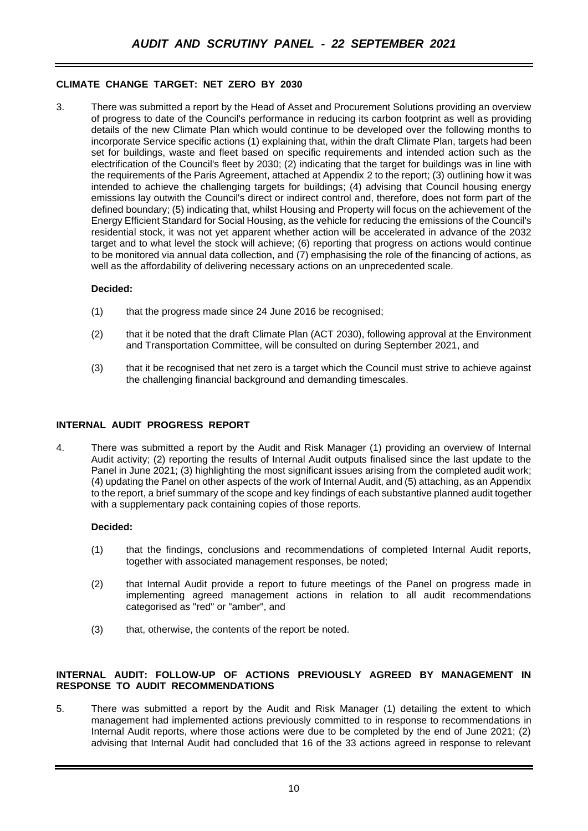## **CLIMATE CHANGE TARGET: NET ZERO BY 2030**

3. There was submitted a report by the Head of Asset and Procurement Solutions providing an overview of progress to date of the Council's performance in reducing its carbon footprint as well as providing details of the new Climate Plan which would continue to be developed over the following months to incorporate Service specific actions (1) explaining that, within the draft Climate Plan, targets had been set for buildings, waste and fleet based on specific requirements and intended action such as the electrification of the Council's fleet by 2030; (2) indicating that the target for buildings was in line with the requirements of the Paris Agreement, attached at Appendix 2 to the report; (3) outlining how it was intended to achieve the challenging targets for buildings; (4) advising that Council housing energy emissions lay outwith the Council's direct or indirect control and, therefore, does not form part of the defined boundary; (5) indicating that, whilst Housing and Property will focus on the achievement of the Energy Efficient Standard for Social Housing, as the vehicle for reducing the emissions of the Council's residential stock, it was not yet apparent whether action will be accelerated in advance of the 2032 target and to what level the stock will achieve; (6) reporting that progress on actions would continue to be monitored via annual data collection, and (7) emphasising the role of the financing of actions, as well as the affordability of delivering necessary actions on an unprecedented scale.

#### **Decided:**

- (1) that the progress made since 24 June 2016 be recognised;
- (2) that it be noted that the draft Climate Plan (ACT 2030), following approval at the Environment and Transportation Committee, will be consulted on during September 2021, and
- (3) that it be recognised that net zero is a target which the Council must strive to achieve against the challenging financial background and demanding timescales.

#### **INTERNAL AUDIT PROGRESS REPORT**

4. There was submitted a report by the Audit and Risk Manager (1) providing an overview of Internal Audit activity; (2) reporting the results of Internal Audit outputs finalised since the last update to the Panel in June 2021; (3) highlighting the most significant issues arising from the completed audit work; (4) updating the Panel on other aspects of the work of Internal Audit, and (5) attaching, as an Appendix to the report, a brief summary of the scope and key findings of each substantive planned audit together with a supplementary pack containing copies of those reports.

#### **Decided:**

- (1) that the findings, conclusions and recommendations of completed Internal Audit reports, together with associated management responses, be noted;
- (2) that Internal Audit provide a report to future meetings of the Panel on progress made in implementing agreed management actions in relation to all audit recommendations categorised as "red" or "amber", and
- (3) that, otherwise, the contents of the report be noted.

#### **INTERNAL AUDIT: FOLLOW-UP OF ACTIONS PREVIOUSLY AGREED BY MANAGEMENT IN RESPONSE TO AUDIT RECOMMENDATIONS**

5. There was submitted a report by the Audit and Risk Manager (1) detailing the extent to which management had implemented actions previously committed to in response to recommendations in Internal Audit reports, where those actions were due to be completed by the end of June 2021; (2) advising that Internal Audit had concluded that 16 of the 33 actions agreed in response to relevant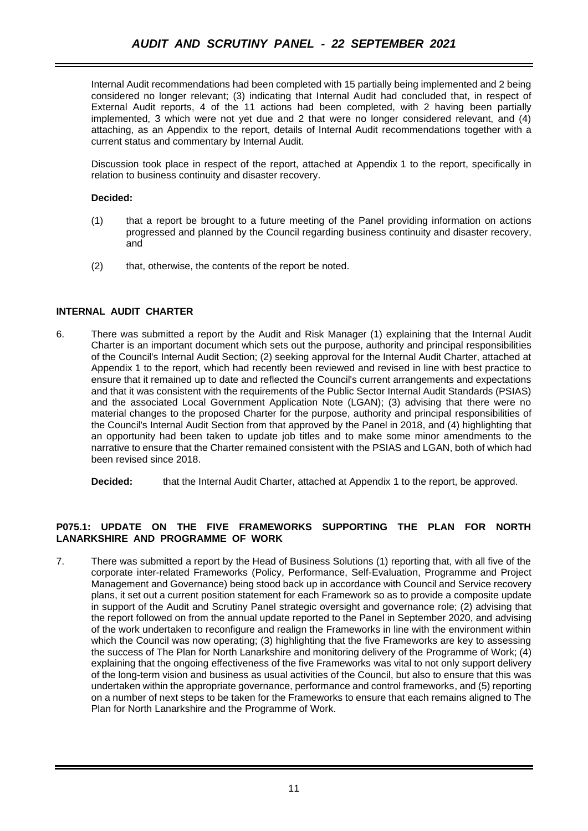Internal Audit recommendations had been completed with 15 partially being implemented and 2 being considered no longer relevant; (3) indicating that Internal Audit had concluded that, in respect of External Audit reports, 4 of the 11 actions had been completed, with 2 having been partially implemented, 3 which were not yet due and 2 that were no longer considered relevant, and (4) attaching, as an Appendix to the report, details of Internal Audit recommendations together with a current status and commentary by Internal Audit.

Discussion took place in respect of the report, attached at Appendix 1 to the report, specifically in relation to business continuity and disaster recovery.

### **Decided:**

- (1) that a report be brought to a future meeting of the Panel providing information on actions progressed and planned by the Council regarding business continuity and disaster recovery, and
- (2) that, otherwise, the contents of the report be noted.

## **INTERNAL AUDIT CHARTER**

6. There was submitted a report by the Audit and Risk Manager (1) explaining that the Internal Audit Charter is an important document which sets out the purpose, authority and principal responsibilities of the Council's Internal Audit Section; (2) seeking approval for the Internal Audit Charter, attached at Appendix 1 to the report, which had recently been reviewed and revised in line with best practice to ensure that it remained up to date and reflected the Council's current arrangements and expectations and that it was consistent with the requirements of the Public Sector Internal Audit Standards (PSIAS) and the associated Local Government Application Note (LGAN); (3) advising that there were no material changes to the proposed Charter for the purpose, authority and principal responsibilities of the Council's Internal Audit Section from that approved by the Panel in 2018, and (4) highlighting that an opportunity had been taken to update job titles and to make some minor amendments to the narrative to ensure that the Charter remained consistent with the PSIAS and LGAN, both of which had been revised since 2018.

**Decided:** that the Internal Audit Charter, attached at Appendix 1 to the report, be approved.

## **P075.1: UPDATE ON THE FIVE FRAMEWORKS SUPPORTING THE PLAN FOR NORTH LANARKSHIRE AND PROGRAMME OF WORK**

7. There was submitted a report by the Head of Business Solutions (1) reporting that, with all five of the corporate inter-related Frameworks (Policy, Performance, Self-Evaluation, Programme and Project Management and Governance) being stood back up in accordance with Council and Service recovery plans, it set out a current position statement for each Framework so as to provide a composite update in support of the Audit and Scrutiny Panel strategic oversight and governance role; (2) advising that the report followed on from the annual update reported to the Panel in September 2020, and advising of the work undertaken to reconfigure and realign the Frameworks in line with the environment within which the Council was now operating; (3) highlighting that the five Frameworks are key to assessing the success of The Plan for North Lanarkshire and monitoring delivery of the Programme of Work; (4) explaining that the ongoing effectiveness of the five Frameworks was vital to not only support delivery of the long-term vision and business as usual activities of the Council, but also to ensure that this was undertaken within the appropriate governance, performance and control frameworks, and (5) reporting on a number of next steps to be taken for the Frameworks to ensure that each remains aligned to The Plan for North Lanarkshire and the Programme of Work.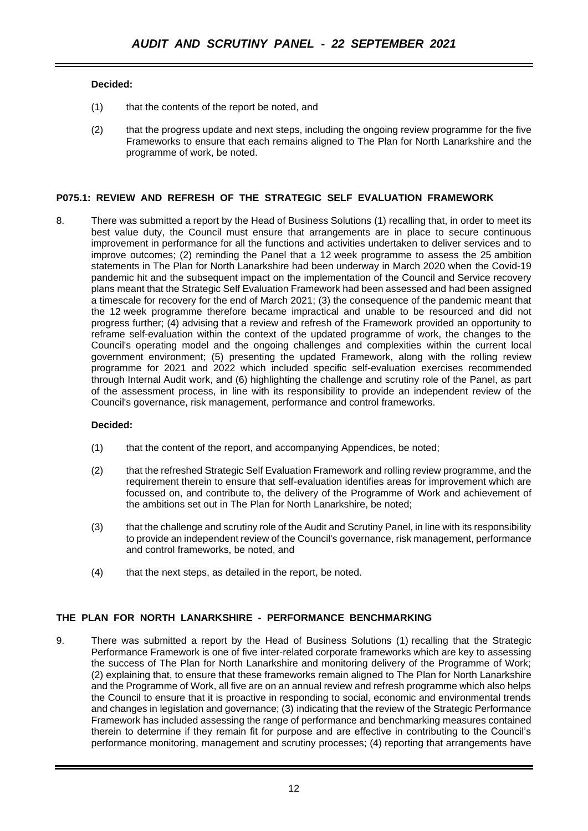## **Decided:**

- (1) that the contents of the report be noted, and
- (2) that the progress update and next steps, including the ongoing review programme for the five Frameworks to ensure that each remains aligned to The Plan for North Lanarkshire and the programme of work, be noted.

## **P075.1: REVIEW AND REFRESH OF THE STRATEGIC SELF EVALUATION FRAMEWORK**

8. There was submitted a report by the Head of Business Solutions (1) recalling that, in order to meet its best value duty, the Council must ensure that arrangements are in place to secure continuous improvement in performance for all the functions and activities undertaken to deliver services and to improve outcomes; (2) reminding the Panel that a 12 week programme to assess the 25 ambition statements in The Plan for North Lanarkshire had been underway in March 2020 when the Covid-19 pandemic hit and the subsequent impact on the implementation of the Council and Service recovery plans meant that the Strategic Self Evaluation Framework had been assessed and had been assigned a timescale for recovery for the end of March 2021; (3) the consequence of the pandemic meant that the 12 week programme therefore became impractical and unable to be resourced and did not progress further; (4) advising that a review and refresh of the Framework provided an opportunity to reframe self-evaluation within the context of the updated programme of work, the changes to the Council's operating model and the ongoing challenges and complexities within the current local government environment; (5) presenting the updated Framework, along with the rolling review programme for 2021 and 2022 which included specific self-evaluation exercises recommended through Internal Audit work, and (6) highlighting the challenge and scrutiny role of the Panel, as part of the assessment process, in line with its responsibility to provide an independent review of the Council's governance, risk management, performance and control frameworks.

#### **Decided:**

- (1) that the content of the report, and accompanying Appendices, be noted;
- (2) that the refreshed Strategic Self Evaluation Framework and rolling review programme, and the requirement therein to ensure that self-evaluation identifies areas for improvement which are focussed on, and contribute to, the delivery of the Programme of Work and achievement of the ambitions set out in The Plan for North Lanarkshire, be noted;
- (3) that the challenge and scrutiny role of the Audit and Scrutiny Panel, in line with its responsibility to provide an independent review of the Council's governance, risk management, performance and control frameworks, be noted, and
- (4) that the next steps, as detailed in the report, be noted.

# **THE PLAN FOR NORTH LANARKSHIRE - PERFORMANCE BENCHMARKING**

9. There was submitted a report by the Head of Business Solutions (1) recalling that the Strategic Performance Framework is one of five inter-related corporate frameworks which are key to assessing the success of The Plan for North Lanarkshire and monitoring delivery of the Programme of Work; (2) explaining that, to ensure that these frameworks remain aligned to The Plan for North Lanarkshire and the Programme of Work, all five are on an annual review and refresh programme which also helps the Council to ensure that it is proactive in responding to social, economic and environmental trends and changes in legislation and governance; (3) indicating that the review of the Strategic Performance Framework has included assessing the range of performance and benchmarking measures contained therein to determine if they remain fit for purpose and are effective in contributing to the Council's performance monitoring, management and scrutiny processes; (4) reporting that arrangements have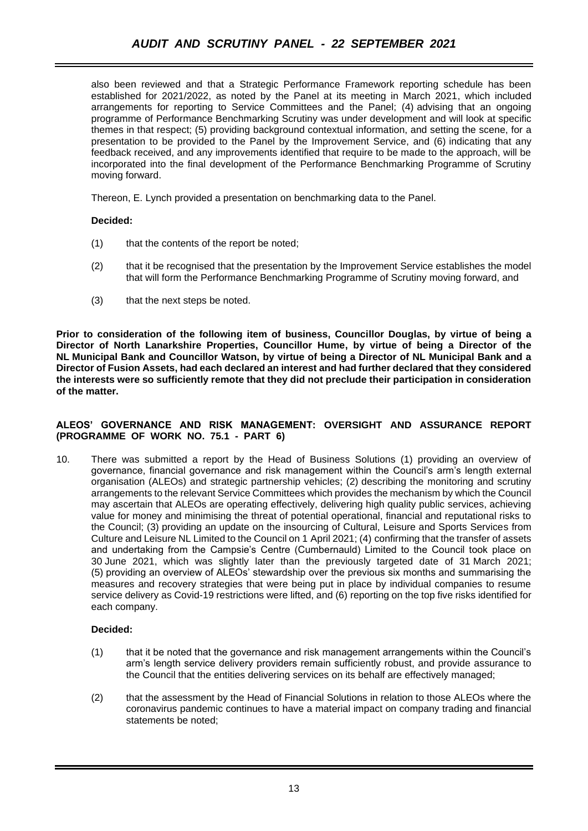also been reviewed and that a Strategic Performance Framework reporting schedule has been established for 2021/2022, as noted by the Panel at its meeting in March 2021, which included arrangements for reporting to Service Committees and the Panel; (4) advising that an ongoing programme of Performance Benchmarking Scrutiny was under development and will look at specific themes in that respect; (5) providing background contextual information, and setting the scene, for a presentation to be provided to the Panel by the Improvement Service, and (6) indicating that any feedback received, and any improvements identified that require to be made to the approach, will be incorporated into the final development of the Performance Benchmarking Programme of Scrutiny moving forward.

Thereon, E. Lynch provided a presentation on benchmarking data to the Panel.

## **Decided:**

- (1) that the contents of the report be noted;
- (2) that it be recognised that the presentation by the Improvement Service establishes the model that will form the Performance Benchmarking Programme of Scrutiny moving forward, and
- (3) that the next steps be noted.

**Prior to consideration of the following item of business, Councillor Douglas, by virtue of being a Director of North Lanarkshire Properties, Councillor Hume, by virtue of being a Director of the NL Municipal Bank and Councillor Watson, by virtue of being a Director of NL Municipal Bank and a Director of Fusion Assets, had each declared an interest and had further declared that they considered the interests were so sufficiently remote that they did not preclude their participation in consideration of the matter.**

#### **ALEOS' GOVERNANCE AND RISK MANAGEMENT: OVERSIGHT AND ASSURANCE REPORT (PROGRAMME OF WORK NO. 75.1 - PART 6)**

10. There was submitted a report by the Head of Business Solutions (1) providing an overview of governance, financial governance and risk management within the Council's arm's length external organisation (ALEOs) and strategic partnership vehicles; (2) describing the monitoring and scrutiny arrangements to the relevant Service Committees which provides the mechanism by which the Council may ascertain that ALEOs are operating effectively, delivering high quality public services, achieving value for money and minimising the threat of potential operational, financial and reputational risks to the Council; (3) providing an update on the insourcing of Cultural, Leisure and Sports Services from Culture and Leisure NL Limited to the Council on 1 April 2021; (4) confirming that the transfer of assets and undertaking from the Campsie's Centre (Cumbernauld) Limited to the Council took place on 30 June 2021, which was slightly later than the previously targeted date of 31 March 2021; (5) providing an overview of ALEOs' stewardship over the previous six months and summarising the measures and recovery strategies that were being put in place by individual companies to resume service delivery as Covid-19 restrictions were lifted, and (6) reporting on the top five risks identified for each company.

#### **Decided:**

- (1) that it be noted that the governance and risk management arrangements within the Council's arm's length service delivery providers remain sufficiently robust, and provide assurance to the Council that the entities delivering services on its behalf are effectively managed;
- (2) that the assessment by the Head of Financial Solutions in relation to those ALEOs where the coronavirus pandemic continues to have a material impact on company trading and financial statements be noted;